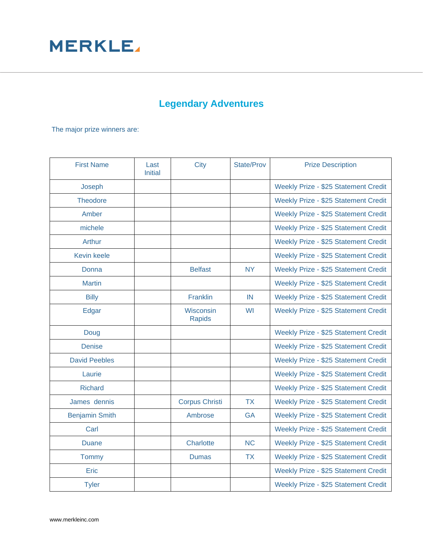

## **Legendary Adventures**

The major prize winners are:

| <b>First Name</b>     | Last<br><b>Initial</b> | City                       | <b>State/Prov</b> | <b>Prize Description</b>             |
|-----------------------|------------------------|----------------------------|-------------------|--------------------------------------|
| Joseph                |                        |                            |                   | Weekly Prize - \$25 Statement Credit |
| <b>Theodore</b>       |                        |                            |                   | Weekly Prize - \$25 Statement Credit |
| Amber                 |                        |                            |                   | Weekly Prize - \$25 Statement Credit |
| michele               |                        |                            |                   | Weekly Prize - \$25 Statement Credit |
| Arthur                |                        |                            |                   | Weekly Prize - \$25 Statement Credit |
| <b>Kevin keele</b>    |                        |                            |                   | Weekly Prize - \$25 Statement Credit |
| Donna                 |                        | <b>Belfast</b>             | <b>NY</b>         | Weekly Prize - \$25 Statement Credit |
| <b>Martin</b>         |                        |                            |                   | Weekly Prize - \$25 Statement Credit |
| <b>Billy</b>          |                        | Franklin                   | IN                | Weekly Prize - \$25 Statement Credit |
| Edgar                 |                        | Wisconsin<br><b>Rapids</b> | <b>WI</b>         | Weekly Prize - \$25 Statement Credit |
| Doug                  |                        |                            |                   | Weekly Prize - \$25 Statement Credit |
| <b>Denise</b>         |                        |                            |                   | Weekly Prize - \$25 Statement Credit |
| <b>David Peebles</b>  |                        |                            |                   | Weekly Prize - \$25 Statement Credit |
| Laurie                |                        |                            |                   | Weekly Prize - \$25 Statement Credit |
| <b>Richard</b>        |                        |                            |                   | Weekly Prize - \$25 Statement Credit |
| James dennis          |                        | <b>Corpus Christi</b>      | <b>TX</b>         | Weekly Prize - \$25 Statement Credit |
| <b>Benjamin Smith</b> |                        | Ambrose                    | <b>GA</b>         | Weekly Prize - \$25 Statement Credit |
| Carl                  |                        |                            |                   | Weekly Prize - \$25 Statement Credit |
| <b>Duane</b>          |                        | Charlotte                  | <b>NC</b>         | Weekly Prize - \$25 Statement Credit |
| Tommy                 |                        | <b>Dumas</b>               | <b>TX</b>         | Weekly Prize - \$25 Statement Credit |
| Eric                  |                        |                            |                   | Weekly Prize - \$25 Statement Credit |
| <b>Tyler</b>          |                        |                            |                   | Weekly Prize - \$25 Statement Credit |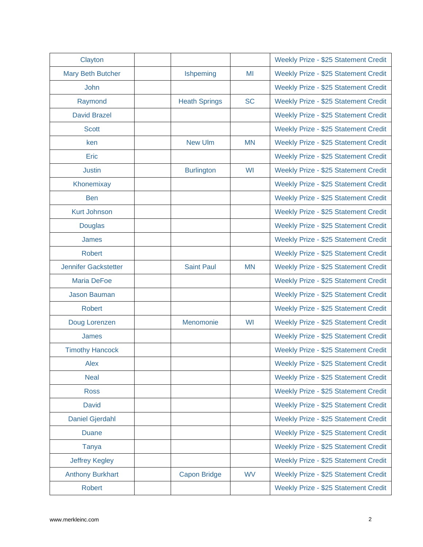| Clayton                     |                      |           | Weekly Prize - \$25 Statement Credit |
|-----------------------------|----------------------|-----------|--------------------------------------|
| <b>Mary Beth Butcher</b>    | Ishpeming            | MI        | Weekly Prize - \$25 Statement Credit |
| John                        |                      |           | Weekly Prize - \$25 Statement Credit |
| Raymond                     | <b>Heath Springs</b> | <b>SC</b> | Weekly Prize - \$25 Statement Credit |
| <b>David Brazel</b>         |                      |           | Weekly Prize - \$25 Statement Credit |
| <b>Scott</b>                |                      |           | Weekly Prize - \$25 Statement Credit |
| ken                         | <b>New Ulm</b>       | <b>MN</b> | Weekly Prize - \$25 Statement Credit |
| Eric                        |                      |           | Weekly Prize - \$25 Statement Credit |
| <b>Justin</b>               | <b>Burlington</b>    | WI        | Weekly Prize - \$25 Statement Credit |
| Khonemixay                  |                      |           | Weekly Prize - \$25 Statement Credit |
| <b>Ben</b>                  |                      |           | Weekly Prize - \$25 Statement Credit |
| <b>Kurt Johnson</b>         |                      |           | Weekly Prize - \$25 Statement Credit |
| <b>Douglas</b>              |                      |           | Weekly Prize - \$25 Statement Credit |
| James                       |                      |           | Weekly Prize - \$25 Statement Credit |
| <b>Robert</b>               |                      |           | Weekly Prize - \$25 Statement Credit |
| <b>Jennifer Gackstetter</b> | <b>Saint Paul</b>    | <b>MN</b> | Weekly Prize - \$25 Statement Credit |
| <b>Maria DeFoe</b>          |                      |           | Weekly Prize - \$25 Statement Credit |
| <b>Jason Bauman</b>         |                      |           | Weekly Prize - \$25 Statement Credit |
| <b>Robert</b>               |                      |           | Weekly Prize - \$25 Statement Credit |
| Doug Lorenzen               | Menomonie            | WI        | Weekly Prize - \$25 Statement Credit |
| James                       |                      |           | Weekly Prize - \$25 Statement Credit |
| <b>Timothy Hancock</b>      |                      |           | Weekly Prize - \$25 Statement Credit |
| Alex                        |                      |           | Weekly Prize - \$25 Statement Credit |
| <b>Neal</b>                 |                      |           | Weekly Prize - \$25 Statement Credit |
| <b>Ross</b>                 |                      |           | Weekly Prize - \$25 Statement Credit |
| <b>David</b>                |                      |           | Weekly Prize - \$25 Statement Credit |
| <b>Daniel Gjerdahl</b>      |                      |           | Weekly Prize - \$25 Statement Credit |
| <b>Duane</b>                |                      |           | Weekly Prize - \$25 Statement Credit |
| <b>Tanya</b>                |                      |           | Weekly Prize - \$25 Statement Credit |
| <b>Jeffrey Kegley</b>       |                      |           | Weekly Prize - \$25 Statement Credit |
| <b>Anthony Burkhart</b>     | <b>Capon Bridge</b>  | <b>WV</b> | Weekly Prize - \$25 Statement Credit |
| <b>Robert</b>               |                      |           | Weekly Prize - \$25 Statement Credit |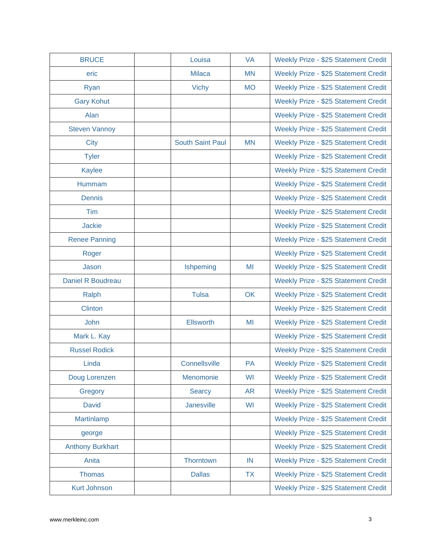| <b>BRUCE</b>            | Louisa                  | <b>VA</b> | Weekly Prize - \$25 Statement Credit |
|-------------------------|-------------------------|-----------|--------------------------------------|
| eric                    | <b>Milaca</b>           | <b>MN</b> | Weekly Prize - \$25 Statement Credit |
| Ryan                    | <b>Vichy</b>            | <b>MO</b> | Weekly Prize - \$25 Statement Credit |
| <b>Gary Kohut</b>       |                         |           | Weekly Prize - \$25 Statement Credit |
| Alan                    |                         |           | Weekly Prize - \$25 Statement Credit |
| <b>Steven Vannoy</b>    |                         |           | Weekly Prize - \$25 Statement Credit |
| <b>City</b>             | <b>South Saint Paul</b> | <b>MN</b> | Weekly Prize - \$25 Statement Credit |
| <b>Tyler</b>            |                         |           | Weekly Prize - \$25 Statement Credit |
| <b>Kaylee</b>           |                         |           | Weekly Prize - \$25 Statement Credit |
| Hummam                  |                         |           | Weekly Prize - \$25 Statement Credit |
| <b>Dennis</b>           |                         |           | Weekly Prize - \$25 Statement Credit |
| Tim                     |                         |           | Weekly Prize - \$25 Statement Credit |
| <b>Jackie</b>           |                         |           | Weekly Prize - \$25 Statement Credit |
| <b>Renee Panning</b>    |                         |           | Weekly Prize - \$25 Statement Credit |
| Roger                   |                         |           | Weekly Prize - \$25 Statement Credit |
| Jason                   | Ishpeming               | MI        | Weekly Prize - \$25 Statement Credit |
| Daniel R Boudreau       |                         |           | Weekly Prize - \$25 Statement Credit |
| Ralph                   | <b>Tulsa</b>            | OK        | Weekly Prize - \$25 Statement Credit |
| <b>Clinton</b>          |                         |           | Weekly Prize - \$25 Statement Credit |
| John                    | <b>Ellsworth</b>        | MI        | Weekly Prize - \$25 Statement Credit |
| Mark L. Kay             |                         |           | Weekly Prize - \$25 Statement Credit |
| <b>Russel Rodick</b>    |                         |           | Weekly Prize - \$25 Statement Credit |
| Linda                   | Connellsville           | PA        | Weekly Prize - \$25 Statement Credit |
| Doug Lorenzen           | Menomonie               | WI        | Weekly Prize - \$25 Statement Credit |
| Gregory                 | <b>Searcy</b>           | <b>AR</b> | Weekly Prize - \$25 Statement Credit |
| <b>David</b>            | Janesville              | WI        | Weekly Prize - \$25 Statement Credit |
| Martinlamp              |                         |           | Weekly Prize - \$25 Statement Credit |
| george                  |                         |           | Weekly Prize - \$25 Statement Credit |
| <b>Anthony Burkhart</b> |                         |           | Weekly Prize - \$25 Statement Credit |
| Anita                   | Thorntown               | IN        | Weekly Prize - \$25 Statement Credit |
| <b>Thomas</b>           | <b>Dallas</b>           | <b>TX</b> | Weekly Prize - \$25 Statement Credit |
| <b>Kurt Johnson</b>     |                         |           | Weekly Prize - \$25 Statement Credit |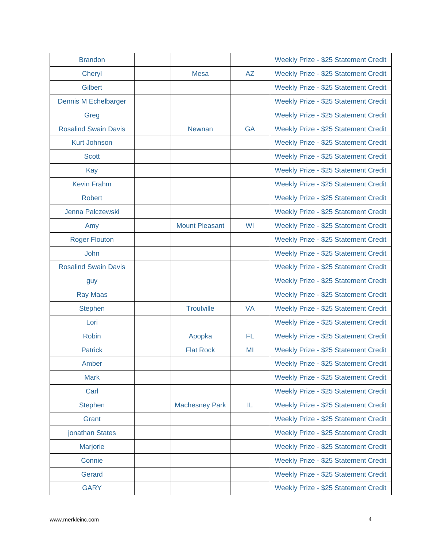| <b>Brandon</b>              |                       |           | Weekly Prize - \$25 Statement Credit |
|-----------------------------|-----------------------|-----------|--------------------------------------|
| Cheryl                      | <b>Mesa</b>           | <b>AZ</b> | Weekly Prize - \$25 Statement Credit |
| <b>Gilbert</b>              |                       |           | Weekly Prize - \$25 Statement Credit |
| <b>Dennis M Echelbarger</b> |                       |           | Weekly Prize - \$25 Statement Credit |
| Greg                        |                       |           | Weekly Prize - \$25 Statement Credit |
| <b>Rosalind Swain Davis</b> | <b>Newnan</b>         | <b>GA</b> | Weekly Prize - \$25 Statement Credit |
| <b>Kurt Johnson</b>         |                       |           | Weekly Prize - \$25 Statement Credit |
| <b>Scott</b>                |                       |           | Weekly Prize - \$25 Statement Credit |
| Kay                         |                       |           | Weekly Prize - \$25 Statement Credit |
| <b>Kevin Frahm</b>          |                       |           | Weekly Prize - \$25 Statement Credit |
| <b>Robert</b>               |                       |           | Weekly Prize - \$25 Statement Credit |
| Jenna Palczewski            |                       |           | Weekly Prize - \$25 Statement Credit |
| Amy                         | <b>Mount Pleasant</b> | WI        | Weekly Prize - \$25 Statement Credit |
| <b>Roger Flouton</b>        |                       |           | Weekly Prize - \$25 Statement Credit |
| <b>John</b>                 |                       |           | Weekly Prize - \$25 Statement Credit |
| <b>Rosalind Swain Davis</b> |                       |           | Weekly Prize - \$25 Statement Credit |
| guy                         |                       |           | Weekly Prize - \$25 Statement Credit |
| <b>Ray Maas</b>             |                       |           | Weekly Prize - \$25 Statement Credit |
| <b>Stephen</b>              | <b>Troutville</b>     | <b>VA</b> | Weekly Prize - \$25 Statement Credit |
| Lori                        |                       |           | Weekly Prize - \$25 Statement Credit |
| <b>Robin</b>                | Apopka                | <b>FL</b> | Weekly Prize - \$25 Statement Credit |
| <b>Patrick</b>              | <b>Flat Rock</b>      | MI        | Weekly Prize - \$25 Statement Credit |
| Amber                       |                       |           | Weekly Prize - \$25 Statement Credit |
| <b>Mark</b>                 |                       |           | Weekly Prize - \$25 Statement Credit |
| Carl                        |                       |           | Weekly Prize - \$25 Statement Credit |
| <b>Stephen</b>              | <b>Machesney Park</b> | IL.       | Weekly Prize - \$25 Statement Credit |
| Grant                       |                       |           | Weekly Prize - \$25 Statement Credit |
| jonathan States             |                       |           | Weekly Prize - \$25 Statement Credit |
| <b>Marjorie</b>             |                       |           | Weekly Prize - \$25 Statement Credit |
| Connie                      |                       |           | Weekly Prize - \$25 Statement Credit |
| Gerard                      |                       |           | Weekly Prize - \$25 Statement Credit |
| <b>GARY</b>                 |                       |           | Weekly Prize - \$25 Statement Credit |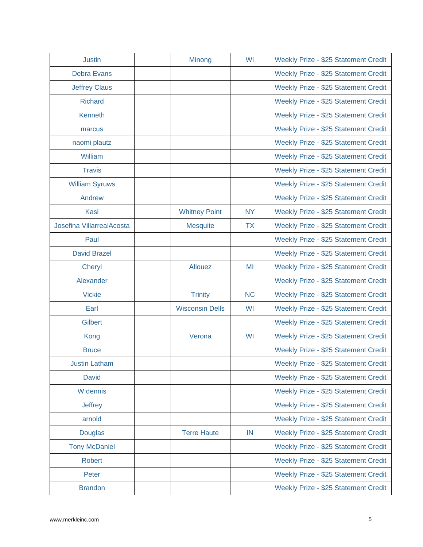| <b>Justin</b>             | Minong                 | WI        | Weekly Prize - \$25 Statement Credit |
|---------------------------|------------------------|-----------|--------------------------------------|
| <b>Debra Evans</b>        |                        |           | Weekly Prize - \$25 Statement Credit |
| <b>Jeffrey Claus</b>      |                        |           | Weekly Prize - \$25 Statement Credit |
| <b>Richard</b>            |                        |           | Weekly Prize - \$25 Statement Credit |
| Kenneth                   |                        |           | Weekly Prize - \$25 Statement Credit |
| marcus                    |                        |           | Weekly Prize - \$25 Statement Credit |
| naomi plautz              |                        |           | Weekly Prize - \$25 Statement Credit |
| William                   |                        |           | Weekly Prize - \$25 Statement Credit |
| <b>Travis</b>             |                        |           | Weekly Prize - \$25 Statement Credit |
| <b>William Syruws</b>     |                        |           | Weekly Prize - \$25 Statement Credit |
| Andrew                    |                        |           | Weekly Prize - \$25 Statement Credit |
| Kasi                      | <b>Whitney Point</b>   | <b>NY</b> | Weekly Prize - \$25 Statement Credit |
| Josefina VillarrealAcosta | <b>Mesquite</b>        | <b>TX</b> | Weekly Prize - \$25 Statement Credit |
| Paul                      |                        |           | Weekly Prize - \$25 Statement Credit |
| <b>David Brazel</b>       |                        |           | Weekly Prize - \$25 Statement Credit |
| Cheryl                    | Allouez                | MI        | Weekly Prize - \$25 Statement Credit |
| Alexander                 |                        |           | Weekly Prize - \$25 Statement Credit |
| <b>Vickie</b>             | <b>Trinity</b>         | <b>NC</b> | Weekly Prize - \$25 Statement Credit |
| Earl                      | <b>Wisconsin Dells</b> | WI        | Weekly Prize - \$25 Statement Credit |
| Gilbert                   |                        |           | Weekly Prize - \$25 Statement Credit |
| Kong                      | Verona                 | WI        | Weekly Prize - \$25 Statement Credit |
| <b>Bruce</b>              |                        |           | Weekly Prize - \$25 Statement Credit |
| <b>Justin Latham</b>      |                        |           | Weekly Prize - \$25 Statement Credit |
| <b>David</b>              |                        |           | Weekly Prize - \$25 Statement Credit |
| W dennis                  |                        |           | Weekly Prize - \$25 Statement Credit |
| <b>Jeffrey</b>            |                        |           | Weekly Prize - \$25 Statement Credit |
| arnold                    |                        |           | Weekly Prize - \$25 Statement Credit |
| <b>Douglas</b>            | <b>Terre Haute</b>     | IN        | Weekly Prize - \$25 Statement Credit |
| <b>Tony McDaniel</b>      |                        |           | Weekly Prize - \$25 Statement Credit |
| Robert                    |                        |           | Weekly Prize - \$25 Statement Credit |
| Peter                     |                        |           | Weekly Prize - \$25 Statement Credit |
| <b>Brandon</b>            |                        |           | Weekly Prize - \$25 Statement Credit |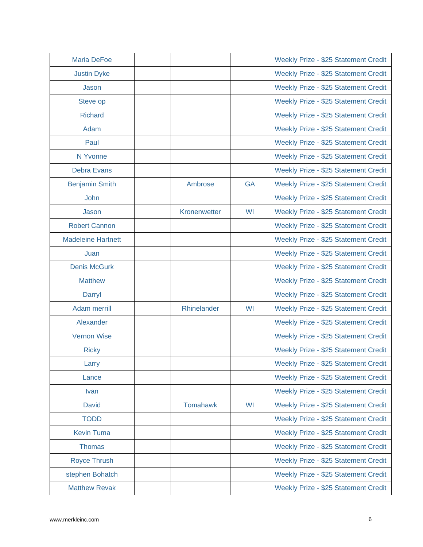| <b>Maria DeFoe</b>        |                 |           | Weekly Prize - \$25 Statement Credit |
|---------------------------|-----------------|-----------|--------------------------------------|
| <b>Justin Dyke</b>        |                 |           | Weekly Prize - \$25 Statement Credit |
| Jason                     |                 |           | Weekly Prize - \$25 Statement Credit |
| Steve op                  |                 |           | Weekly Prize - \$25 Statement Credit |
| <b>Richard</b>            |                 |           | Weekly Prize - \$25 Statement Credit |
| Adam                      |                 |           | Weekly Prize - \$25 Statement Credit |
| Paul                      |                 |           | Weekly Prize - \$25 Statement Credit |
| N Yvonne                  |                 |           | Weekly Prize - \$25 Statement Credit |
| <b>Debra Evans</b>        |                 |           | Weekly Prize - \$25 Statement Credit |
| <b>Benjamin Smith</b>     | Ambrose         | <b>GA</b> | Weekly Prize - \$25 Statement Credit |
| John                      |                 |           | Weekly Prize - \$25 Statement Credit |
| Jason                     | Kronenwetter    | WI        | Weekly Prize - \$25 Statement Credit |
| <b>Robert Cannon</b>      |                 |           | Weekly Prize - \$25 Statement Credit |
| <b>Madeleine Hartnett</b> |                 |           | Weekly Prize - \$25 Statement Credit |
| Juan                      |                 |           | Weekly Prize - \$25 Statement Credit |
| <b>Denis McGurk</b>       |                 |           | Weekly Prize - \$25 Statement Credit |
| <b>Matthew</b>            |                 |           | Weekly Prize - \$25 Statement Credit |
| Darryl                    |                 |           | Weekly Prize - \$25 Statement Credit |
| Adam merrill              | Rhinelander     | WI        | Weekly Prize - \$25 Statement Credit |
| Alexander                 |                 |           | Weekly Prize - \$25 Statement Credit |
| <b>Vernon Wise</b>        |                 |           | Weekly Prize - \$25 Statement Credit |
| <b>Ricky</b>              |                 |           | Weekly Prize - \$25 Statement Credit |
| Larry                     |                 |           | Weekly Prize - \$25 Statement Credit |
| Lance                     |                 |           | Weekly Prize - \$25 Statement Credit |
| <b>Ivan</b>               |                 |           | Weekly Prize - \$25 Statement Credit |
| <b>David</b>              | <b>Tomahawk</b> | WI        | Weekly Prize - \$25 Statement Credit |
| <b>TODD</b>               |                 |           | Weekly Prize - \$25 Statement Credit |
| <b>Kevin Tuma</b>         |                 |           | Weekly Prize - \$25 Statement Credit |
| <b>Thomas</b>             |                 |           | Weekly Prize - \$25 Statement Credit |
| <b>Royce Thrush</b>       |                 |           | Weekly Prize - \$25 Statement Credit |
| stephen Bohatch           |                 |           | Weekly Prize - \$25 Statement Credit |
| <b>Matthew Revak</b>      |                 |           | Weekly Prize - \$25 Statement Credit |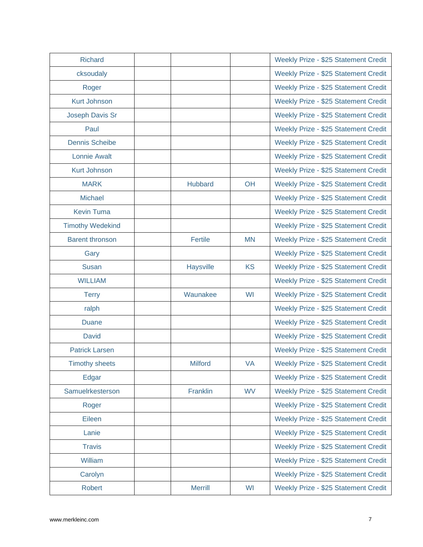| <b>Richard</b>          |                  |           | Weekly Prize - \$25 Statement Credit |
|-------------------------|------------------|-----------|--------------------------------------|
| cksoudaly               |                  |           | Weekly Prize - \$25 Statement Credit |
| Roger                   |                  |           | Weekly Prize - \$25 Statement Credit |
| <b>Kurt Johnson</b>     |                  |           | Weekly Prize - \$25 Statement Credit |
| Joseph Davis Sr         |                  |           | Weekly Prize - \$25 Statement Credit |
| Paul                    |                  |           | Weekly Prize - \$25 Statement Credit |
| <b>Dennis Scheibe</b>   |                  |           | Weekly Prize - \$25 Statement Credit |
| <b>Lonnie Awalt</b>     |                  |           | Weekly Prize - \$25 Statement Credit |
| <b>Kurt Johnson</b>     |                  |           | Weekly Prize - \$25 Statement Credit |
| <b>MARK</b>             | <b>Hubbard</b>   | OH        | Weekly Prize - \$25 Statement Credit |
| <b>Michael</b>          |                  |           | Weekly Prize - \$25 Statement Credit |
| <b>Kevin Tuma</b>       |                  |           | Weekly Prize - \$25 Statement Credit |
| <b>Timothy Wedekind</b> |                  |           | Weekly Prize - \$25 Statement Credit |
| <b>Barent thronson</b>  | <b>Fertile</b>   | <b>MN</b> | Weekly Prize - \$25 Statement Credit |
| Gary                    |                  |           | Weekly Prize - \$25 Statement Credit |
| <b>Susan</b>            | <b>Haysville</b> | <b>KS</b> | Weekly Prize - \$25 Statement Credit |
| <b>WILLIAM</b>          |                  |           | Weekly Prize - \$25 Statement Credit |
| <b>Terry</b>            | Waunakee         | WI        | Weekly Prize - \$25 Statement Credit |
| ralph                   |                  |           | Weekly Prize - \$25 Statement Credit |
| <b>Duane</b>            |                  |           | Weekly Prize - \$25 Statement Credit |
| <b>David</b>            |                  |           | Weekly Prize - \$25 Statement Credit |
| <b>Patrick Larsen</b>   |                  |           | Weekly Prize - \$25 Statement Credit |
| <b>Timothy sheets</b>   | <b>Milford</b>   | <b>VA</b> | Weekly Prize - \$25 Statement Credit |
| Edgar                   |                  |           | Weekly Prize - \$25 Statement Credit |
| Samuelrkesterson        | Franklin         | <b>WV</b> | Weekly Prize - \$25 Statement Credit |
| Roger                   |                  |           | Weekly Prize - \$25 Statement Credit |
| Eileen                  |                  |           | Weekly Prize - \$25 Statement Credit |
| Lanie                   |                  |           | Weekly Prize - \$25 Statement Credit |
| <b>Travis</b>           |                  |           | Weekly Prize - \$25 Statement Credit |
| William                 |                  |           | Weekly Prize - \$25 Statement Credit |
| Carolyn                 |                  |           | Weekly Prize - \$25 Statement Credit |
| <b>Robert</b>           | <b>Merrill</b>   | WI        | Weekly Prize - \$25 Statement Credit |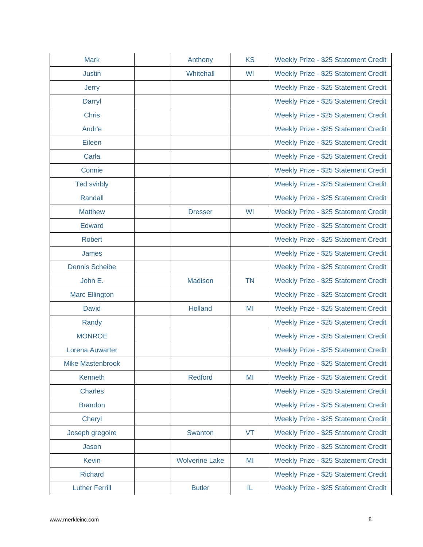| <b>Mark</b>             | Anthony               | <b>KS</b> | Weekly Prize - \$25 Statement Credit |
|-------------------------|-----------------------|-----------|--------------------------------------|
| <b>Justin</b>           | Whitehall             | WI        | Weekly Prize - \$25 Statement Credit |
| <b>Jerry</b>            |                       |           | Weekly Prize - \$25 Statement Credit |
| Darryl                  |                       |           | Weekly Prize - \$25 Statement Credit |
| <b>Chris</b>            |                       |           | Weekly Prize - \$25 Statement Credit |
| Andr'e                  |                       |           | Weekly Prize - \$25 Statement Credit |
| Eileen                  |                       |           | Weekly Prize - \$25 Statement Credit |
| Carla                   |                       |           | Weekly Prize - \$25 Statement Credit |
| Connie                  |                       |           | Weekly Prize - \$25 Statement Credit |
| <b>Ted svirbly</b>      |                       |           | Weekly Prize - \$25 Statement Credit |
| Randall                 |                       |           | Weekly Prize - \$25 Statement Credit |
| <b>Matthew</b>          | <b>Dresser</b>        | WI        | Weekly Prize - \$25 Statement Credit |
| <b>Edward</b>           |                       |           | Weekly Prize - \$25 Statement Credit |
| <b>Robert</b>           |                       |           | Weekly Prize - \$25 Statement Credit |
| James                   |                       |           | Weekly Prize - \$25 Statement Credit |
| <b>Dennis Scheibe</b>   |                       |           | Weekly Prize - \$25 Statement Credit |
| John E.                 | <b>Madison</b>        | <b>TN</b> | Weekly Prize - \$25 Statement Credit |
| <b>Marc Ellington</b>   |                       |           | Weekly Prize - \$25 Statement Credit |
| <b>David</b>            | <b>Holland</b>        | MI        | Weekly Prize - \$25 Statement Credit |
| Randy                   |                       |           | Weekly Prize - \$25 Statement Credit |
| <b>MONROE</b>           |                       |           | Weekly Prize - \$25 Statement Credit |
| <b>Lorena Auwarter</b>  |                       |           | Weekly Prize - \$25 Statement Credit |
| <b>Mike Mastenbrook</b> |                       |           | Weekly Prize - \$25 Statement Credit |
| Kenneth                 | <b>Redford</b>        | MI        | Weekly Prize - \$25 Statement Credit |
| <b>Charles</b>          |                       |           | Weekly Prize - \$25 Statement Credit |
| <b>Brandon</b>          |                       |           | Weekly Prize - \$25 Statement Credit |
| Cheryl                  |                       |           | Weekly Prize - \$25 Statement Credit |
| Joseph gregoire         | Swanton               | VT        | Weekly Prize - \$25 Statement Credit |
| Jason                   |                       |           | Weekly Prize - \$25 Statement Credit |
| <b>Kevin</b>            | <b>Wolverine Lake</b> | MI        | Weekly Prize - \$25 Statement Credit |
| <b>Richard</b>          |                       |           | Weekly Prize - \$25 Statement Credit |
| <b>Luther Ferrill</b>   | <b>Butler</b>         | IL        | Weekly Prize - \$25 Statement Credit |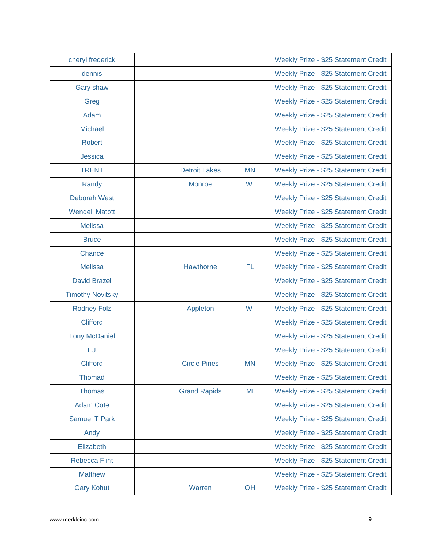| cheryl frederick        |                      |           | Weekly Prize - \$25 Statement Credit |
|-------------------------|----------------------|-----------|--------------------------------------|
| dennis                  |                      |           | Weekly Prize - \$25 Statement Credit |
| Gary shaw               |                      |           | Weekly Prize - \$25 Statement Credit |
| Greg                    |                      |           | Weekly Prize - \$25 Statement Credit |
| Adam                    |                      |           | Weekly Prize - \$25 Statement Credit |
| <b>Michael</b>          |                      |           | Weekly Prize - \$25 Statement Credit |
| <b>Robert</b>           |                      |           | Weekly Prize - \$25 Statement Credit |
| Jessica                 |                      |           | Weekly Prize - \$25 Statement Credit |
| <b>TRENT</b>            | <b>Detroit Lakes</b> | <b>MN</b> | Weekly Prize - \$25 Statement Credit |
| Randy                   | <b>Monroe</b>        | WI        | Weekly Prize - \$25 Statement Credit |
| <b>Deborah West</b>     |                      |           | Weekly Prize - \$25 Statement Credit |
| <b>Wendell Matott</b>   |                      |           | Weekly Prize - \$25 Statement Credit |
| <b>Melissa</b>          |                      |           | Weekly Prize - \$25 Statement Credit |
| <b>Bruce</b>            |                      |           | Weekly Prize - \$25 Statement Credit |
| Chance                  |                      |           | Weekly Prize - \$25 Statement Credit |
| <b>Melissa</b>          | Hawthorne            | FL.       | Weekly Prize - \$25 Statement Credit |
| <b>David Brazel</b>     |                      |           | Weekly Prize - \$25 Statement Credit |
| <b>Timothy Novitsky</b> |                      |           | Weekly Prize - \$25 Statement Credit |
| <b>Rodney Folz</b>      | Appleton             | WI        | Weekly Prize - \$25 Statement Credit |
| <b>Clifford</b>         |                      |           | Weekly Prize - \$25 Statement Credit |
| <b>Tony McDaniel</b>    |                      |           | Weekly Prize - \$25 Statement Credit |
| T.J.                    |                      |           | Weekly Prize - \$25 Statement Credit |
| <b>Clifford</b>         | <b>Circle Pines</b>  | <b>MN</b> | Weekly Prize - \$25 Statement Credit |
| <b>Thomad</b>           |                      |           | Weekly Prize - \$25 Statement Credit |
| <b>Thomas</b>           | <b>Grand Rapids</b>  | MI        | Weekly Prize - \$25 Statement Credit |
| <b>Adam Cote</b>        |                      |           | Weekly Prize - \$25 Statement Credit |
| <b>Samuel T Park</b>    |                      |           | Weekly Prize - \$25 Statement Credit |
| Andy                    |                      |           | Weekly Prize - \$25 Statement Credit |
| Elizabeth               |                      |           | Weekly Prize - \$25 Statement Credit |
| <b>Rebecca Flint</b>    |                      |           | Weekly Prize - \$25 Statement Credit |
| <b>Matthew</b>          |                      |           | Weekly Prize - \$25 Statement Credit |
| <b>Gary Kohut</b>       | Warren               | OH        | Weekly Prize - \$25 Statement Credit |